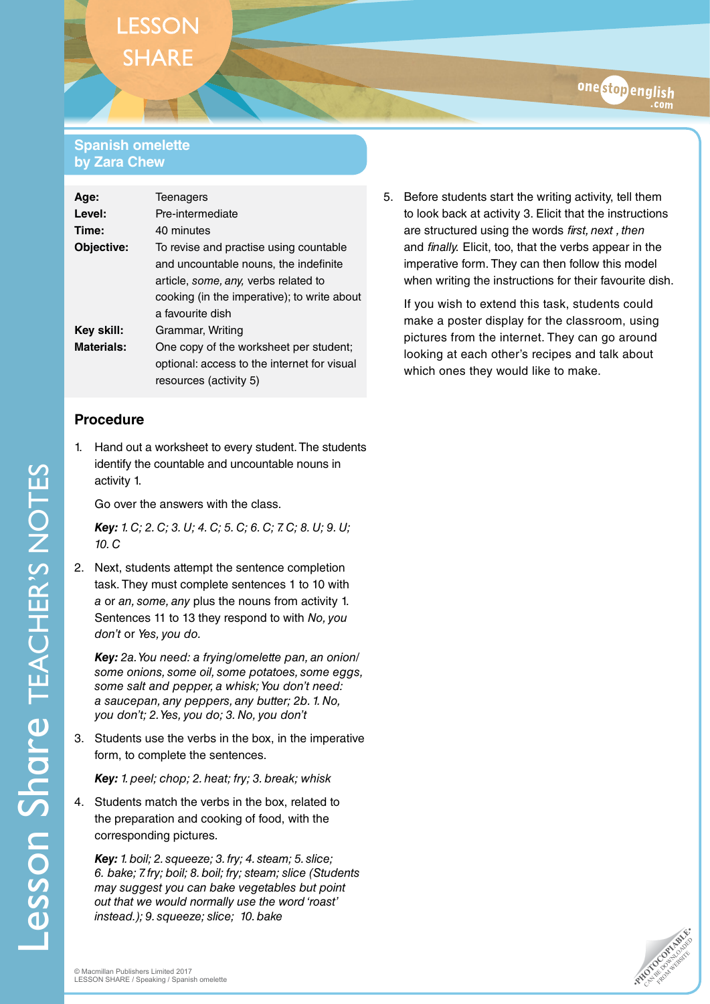# **LESSON SHARE**

### **Spanish omelette by Zara Chew**

| Age:              | <b>Teenagers</b>                            |
|-------------------|---------------------------------------------|
| Level:            | Pre-intermediate                            |
| Time:             | 40 minutes                                  |
| Objective:        | To revise and practise using countable      |
|                   | and uncountable nouns, the indefinite       |
|                   | article, some, any, verbs related to        |
|                   | cooking (in the imperative); to write about |
|                   | a favourite dish                            |
| Key skill:        | Grammar, Writing                            |
| <b>Materials:</b> | One copy of the worksheet per student;      |
|                   | optional: access to the internet for visual |
|                   | resources (activity 5)                      |

# **Procedure**

Lesson Share TEACHER'S NOTES

**Lesson Share TEACHER'S NOTES** 

1. Hand out a worksheet to every student. The students identify the countable and uncountable nouns in activity 1.

Go over the answers with the class.

*Key: 1. C; 2. C; 3. U; 4. C; 5. C; 6. C; 7. C; 8. U; 9. U; 10. C*

2. Next, students attempt the sentence completion task. They must complete sentences 1 to 10 with *a* or *an, some, any* plus the nouns from activity 1. Sentences 11 to 13 they respond to with *No, you don't* or *Yes, you do.*

*Key: 2a. You need: a frying/omelette pan, an onion/ some onions, some oil, some potatoes, some eggs, some salt and pepper, a whisk; You don't need: a saucepan, any peppers, any butter; 2b. 1. No, you don't; 2. Yes, you do; 3. No, you don't*

3. Students use the verbs in the box, in the imperative form, to complete the sentences.

*Key: 1. peel; chop; 2. heat; fry; 3. break; whisk*

4. Students match the verbs in the box, related to the preparation and cooking of food, with the corresponding pictures.

*Key: 1. boil; 2. squeeze; 3. fry; 4. steam; 5. slice; 6. bake; 7. fry; boil; 8. boil; fry; steam; slice (Students may suggest you can bake vegetables but point out that we would normally use the word 'roast' instead.); 9. squeeze; slice; 10. bake*

5. Before students start the writing activity, tell them to look back at activity 3. Elicit that the instructions are structured using the words *first, next , then* and *finally.* Elicit, too, that the verbs appear in the imperative form. They can then follow this model when writing the instructions for their favourite dish.

onestopenglish

If you wish to extend this task, students could make a poster display for the classroom, using pictures from the internet. They can go around looking at each other's recipes and talk about which ones they would like to make.

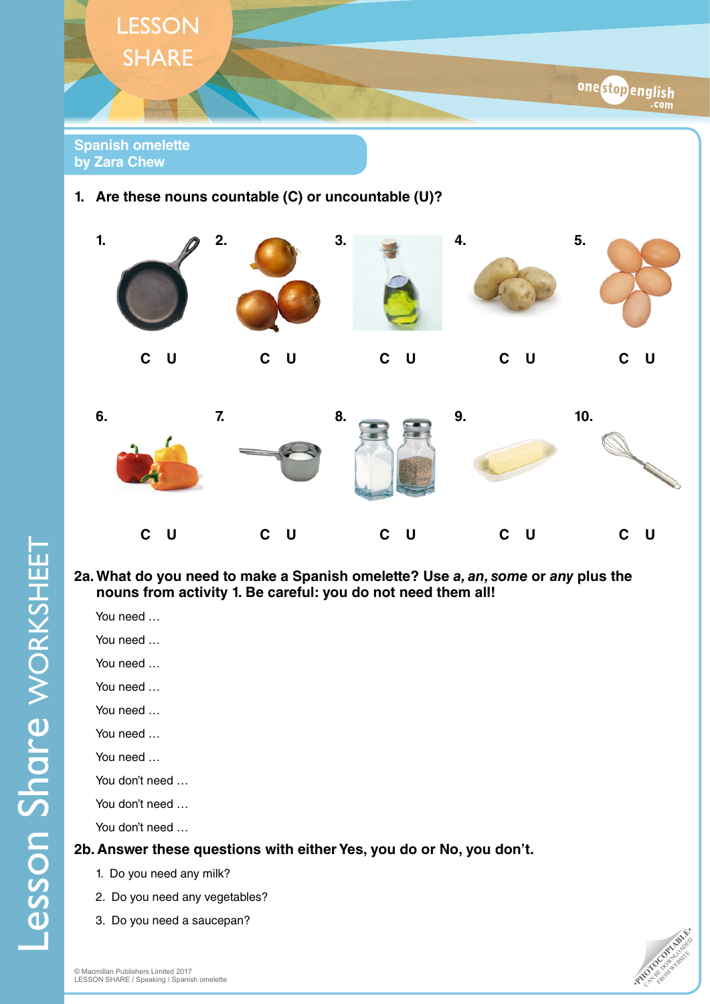



#### **2a. What do you need to make a Spanish omelette? Use** *a, an, some* **or** *any* **plus the nouns from activity 1. Be careful: you do not need them all!**

You need …

You need …

- You need …
- You need …
- You need …
- You need …
- You need …

You don't need …

You don't need …

You don't need …

# **2b. Answer these questions with either Yes, you do or No, you don't.**

- 1. Do you need any milk?
- 2. Do you need any vegetables?
- 3. Do you need a saucepan?

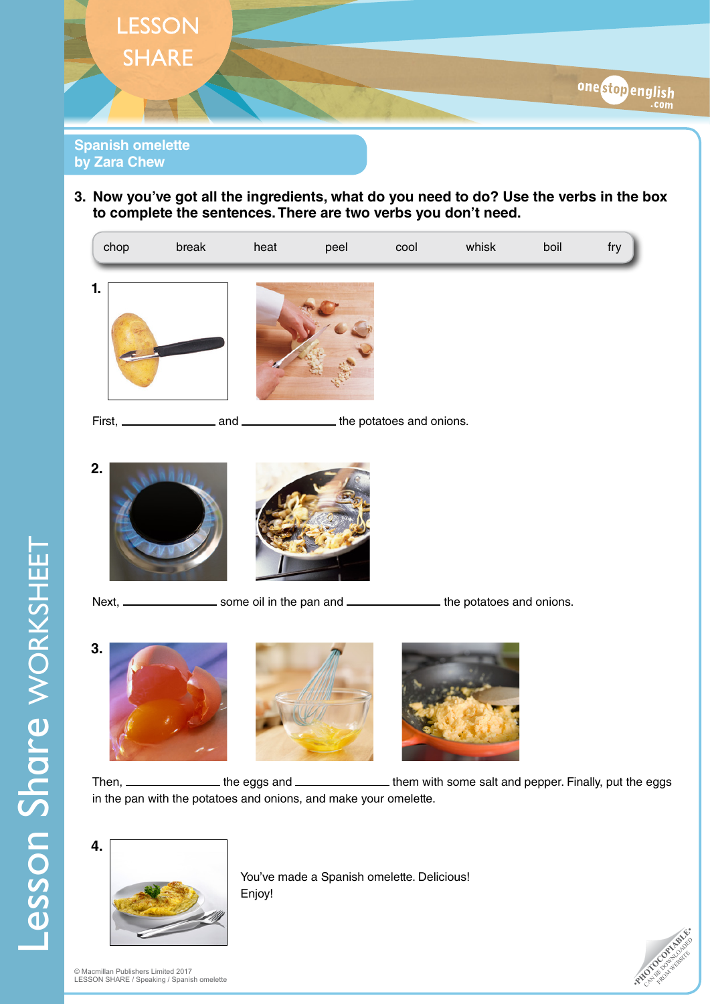

**3. Now you've got all the ingredients, what do you need to do? Use the verbs in the box to complete the sentences. There are two verbs you don't need.**



```
Next, _____________________ some oil in the pan and _____________________ the potatoes and onions.
```






Then, \_\_\_\_\_\_\_\_\_\_\_\_\_\_\_\_\_\_ the eggs and \_\_\_\_\_\_\_\_\_\_\_\_\_\_\_\_\_\_\_\_\_ them with some salt and pepper. Finally, put the eggs in the pan with the potatoes and onions, and make your omelette.



You've made a Spanish omelette. Delicious! Enjoy!

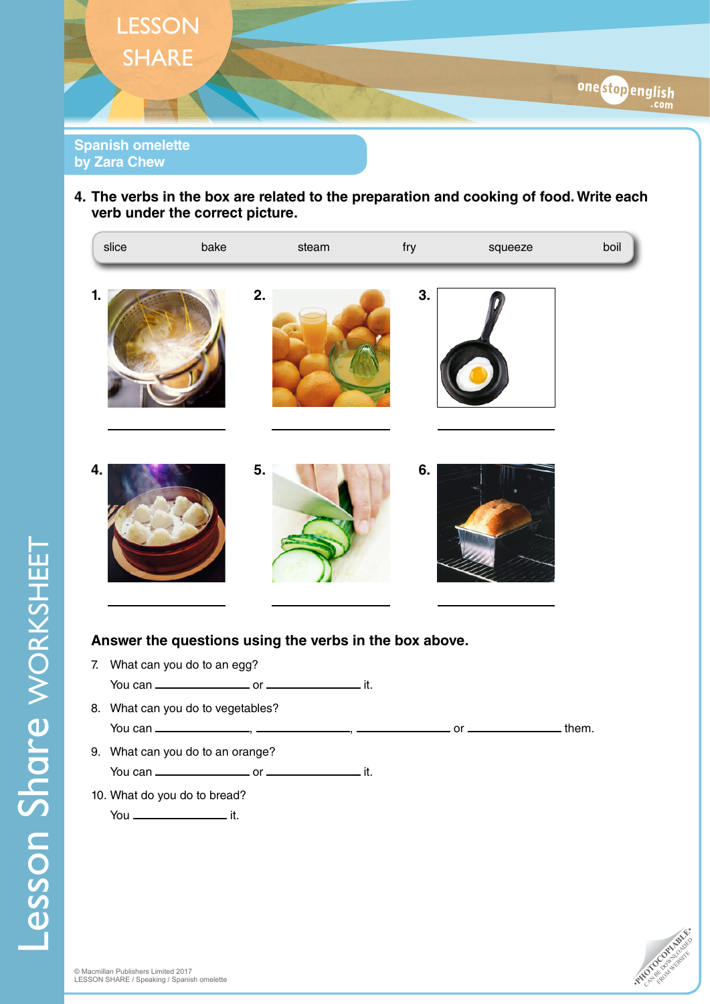

**4. The verbs in the box are related to the preparation and cooking of food. Write each verb under the correct picture.** 



# **Answer the questions using the verbs in the box above.**

7. What can you do to an egg? You can or it. 8. What can you do to vegetables? You can  $\frac{1}{1}$ ,  $\frac{1}{1}$ ,  $\frac{1}{1}$ ,  $\frac{1}{1}$ ,  $\frac{1}{1}$ ,  $\frac{1}{1}$ ,  $\frac{1}{1}$ ,  $\frac{1}{1}$ ,  $\frac{1}{1}$ ,  $\frac{1}{1}$ ,  $\frac{1}{1}$ ,  $\frac{1}{1}$ ,  $\frac{1}{1}$ ,  $\frac{1}{1}$ ,  $\frac{1}{1}$ ,  $\frac{1}{1}$ ,  $\frac{1}{1}$ ,  $\frac{1}{1}$ ,  $\frac{1}{1}$ ,  $\frac{$ 9. What can you do to an orange? You can or it. 10. What do you do to bread? You \_\_\_\_\_\_\_\_\_\_\_\_\_\_\_\_\_\_\_\_\_\_\_\_\_ it.